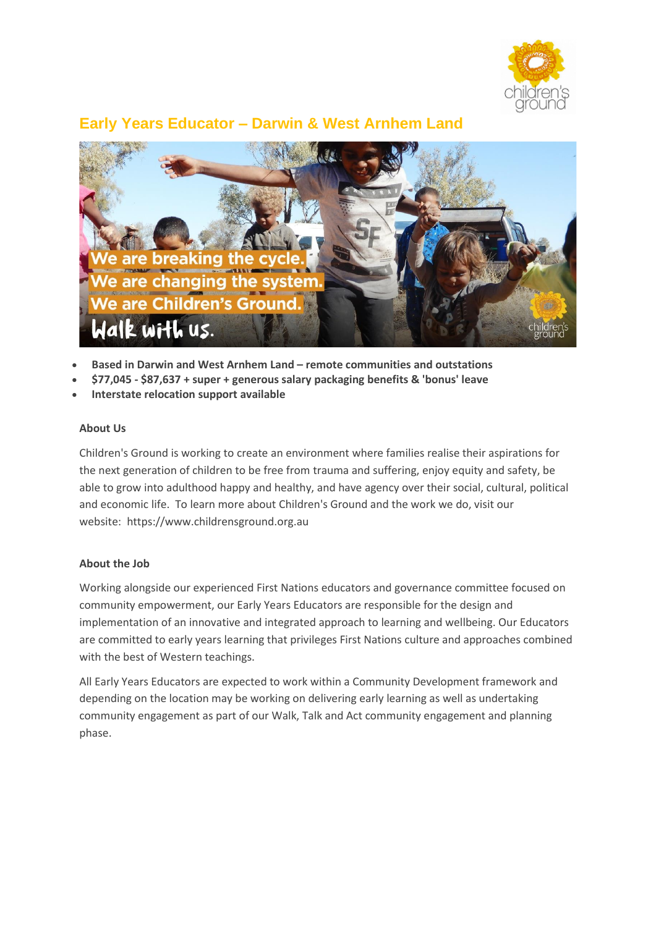

# **Early Years Educator – Darwin & West Arnhem Land**



- **Based in Darwin and West Arnhem Land – remote communities and outstations**
- **\$77,045 - \$87,637 + super + generous salary packaging benefits & 'bonus' leave**
- **Interstate relocation support available**

#### **About Us**

Children's Ground is working to create an environment where families realise their aspirations for the next generation of children to be free from trauma and suffering, enjoy equity and safety, be able to grow into adulthood happy and healthy, and have agency over their social, cultural, political and economic life. To learn more about Children's Ground and the work we do, visit our website: https://www.childrensground.org.au

#### **About the Job**

Working alongside our experienced First Nations educators and governance committee focused on community empowerment, our Early Years Educators are responsible for the design and implementation of an innovative and integrated approach to learning and wellbeing. Our Educators are committed to early years learning that privileges First Nations culture and approaches combined with the best of Western teachings.

All Early Years Educators are expected to work within a Community Development framework and depending on the location may be working on delivering early learning as well as undertaking community engagement as part of our Walk, Talk and Act community engagement and planning phase.